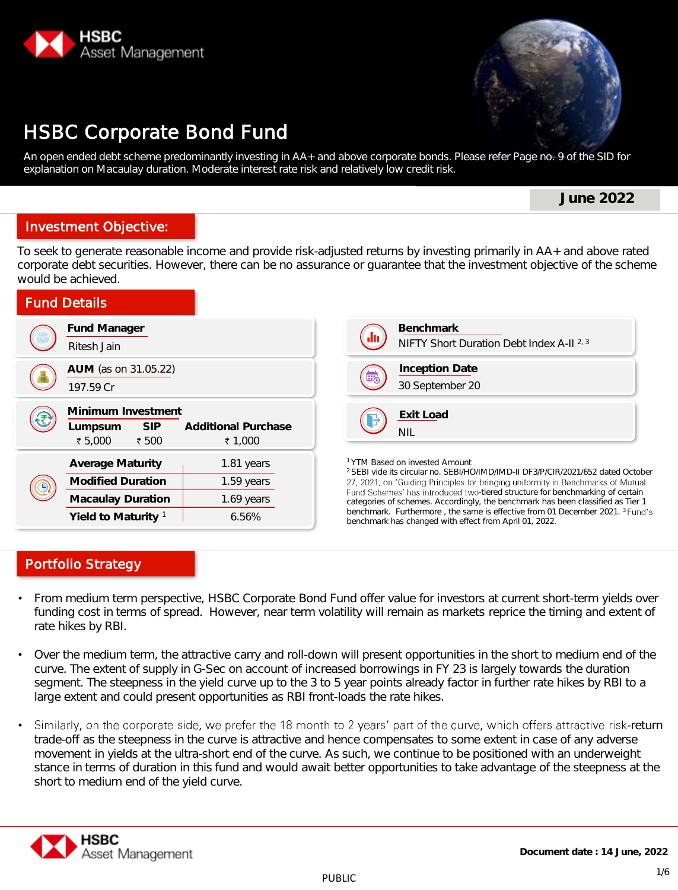



# HSBC Corporate Bond Fund

An open ended debt scheme predominantly investing in AA+ and above corporate bonds. Please refer Page no. 9 of the SID for explanation on Macaulay duration. Moderate interest rate risk and relatively low credit risk.

**June 2022**

# Investment Objective:

To seek to generate reasonable income and provide risk-adjusted returns by investing primarily in AA+ and above rated corporate debt securities. However, there can be no assurance or guarantee that the investment objective of the scheme would be achieved.

| <b>Fund Details</b>                                                                                        |                                                 |
|------------------------------------------------------------------------------------------------------------|-------------------------------------------------|
| Fund Manager<br>Ritesh Jain                                                                                |                                                 |
| AUM (as on 31.05.22)<br>197.59 Cr                                                                          |                                                 |
| Minimum Investment<br><b>SIP</b><br>Lumpsum<br>₹ 5,000<br>₹ 500                                            | Additional Purchase<br>₹ 1,000                  |
| <b>Average Maturity</b><br><b>Modified Duration</b><br>Macaulay Duration<br>Yield to Maturity <sup>1</sup> | 1.81 years<br>1.59 years<br>1.69 years<br>6.56% |



<sup>2</sup>SEBI vide its circular no. SEBI/HO/IMD/IMD-II DF3/P/CIR/2021/652 dated October 27, 2021, on 'Guiding Principles for bringing uniformity in Benchmarks of Mutual<br>Fund Schemes' has introduced two-tiered structure for benchmarking of certain categories of schemes. Accordingly, the benchmark has been classified as Tier 1 benchmark. Furthermore , the same is effective from 01 December 2021. 3 benchmark has changed with effect from April 01, 2022.

## Portfolio Strategy

- From medium term perspective, HSBC Corporate Bond Fund offer value for investors at current short-term yields over funding cost in terms of spread. However, near term volatility will remain as markets reprice the timing and extent of rate hikes by RBI.
- Over the medium term, the attractive carry and roll-down will present opportunities in the short to medium end of the curve. The extent of supply in G-Sec on account of increased borrowings in FY 23 is largely towards the duration segment. The steepness in the yield curve up to the 3 to 5 year points already factor in further rate hikes by RBI to a large extent and could present opportunities as RBI front-loads the rate hikes.
- Similarly, on the corporate side, we prefer the 18 month to 2 years' part of the curve, which offers attractive risk-return trade-off as the steepness in the curve is attractive and hence compensates to some extent in case of any adverse movement in yields at the ultra-short end of the curve. As such, we continue to be positioned with an underweight stance in terms of duration in this fund and would await better opportunities to take advantage of the steepness at the short to medium end of the yield curve.

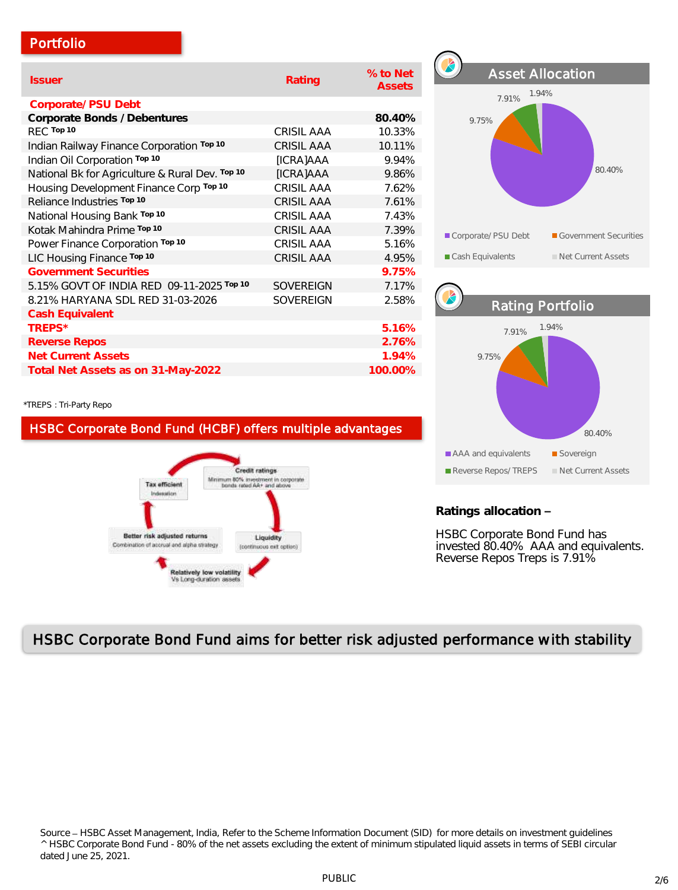### Portfolio

\*TREPS : Tri-Party Repo

| <b>Issuer</b>                                   | Rating            | % to Net<br><b>Assets</b> |
|-------------------------------------------------|-------------------|---------------------------|
| Corporate/ PSU Debt                             |                   |                           |
| Corporate Bonds / Debentures                    |                   | 80.40%                    |
| REC Top 10                                      | <b>CRISIL AAA</b> | 10.33%                    |
| Indian Railway Finance Corporation Top 10       | <b>CRISIL AAA</b> | 10.11%                    |
| Indian Oil Corporation Top 10                   | [ICRA]AAA         | 9.94%                     |
| National Bk for Agriculture & Rural Dev. Top 10 | [ICRA]AAA         | 9.86%                     |
| Housing Development Finance Corp Top 10         | CRISIL AAA        | 7.62%                     |
| Reliance Industries Top 10                      | <b>CRISIL AAA</b> | 7.61%                     |
| National Housing Bank Top 10                    | CRISIL AAA        | 7.43%                     |
| Kotak Mahindra Prime Top 10                     | <b>CRISIL AAA</b> | 7.39%                     |
| Power Finance Corporation Top 10                | <b>CRISIL AAA</b> | 5.16%                     |
| LIC Housing Finance Top 10                      | <b>CRISIL AAA</b> | 4.95%                     |
| <b>Government Securities</b>                    |                   | 9.75%                     |
| 5.15% GOVT OF INDIA RED 09-11-2025 Top 10       | <b>SOVERFIGN</b>  | 7.17%                     |
| 8.21% HARYANA SDL RED 31-03-2026                | <b>SOVEREIGN</b>  | 2.58%                     |
| Cash Equivalent                                 |                   |                           |
| TREPS*                                          |                   | 5.16%                     |
| <b>Reverse Repos</b>                            |                   | 2.76%                     |
| <b>Net Current Assets</b>                       | 1.94%             |                           |
| Total Net Assets as on 31-May-2022              | 100.00%           |                           |

HSBC Corporate Bond Fund (HCBF) offers multiple advantages

Relatively low volatility<br>Vs Long-duration assets

**Tax efficient** Indexation

Better risk adjusted returns

Combination of accrual and alpha strategy

**Credit ratings** Minimum 80% investment in corporate

Liquidity

(continuous ext option)



#### **Ratings allocation**

HSBC Corporate Bond Fund has invested 80.40% AAA and equivalents. Reverse Repos Treps is 7.91%

# HSBC Corporate Bond Fund aims for better risk adjusted performance with stability

Source HSBC Asset Management, India, Refer to the Scheme Information Document (SID) for more details on investment guidelines ^ HSBC Corporate Bond Fund - 80% of the net assets excluding the extent of minimum stipulated liquid assets in terms of SEBI circular dated June 25, 2021.

#### PUBLIC 2/6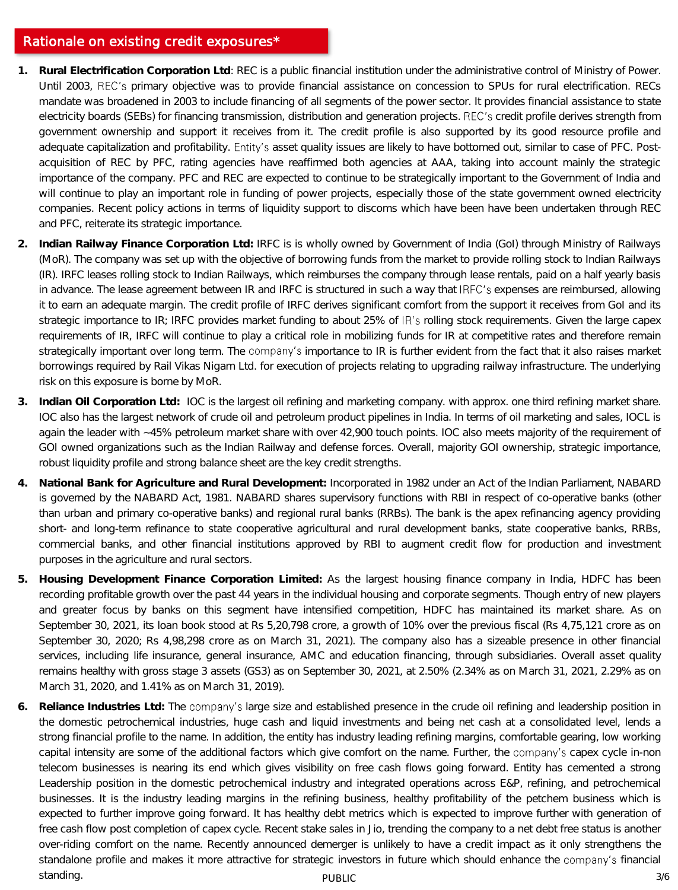#### Rationale on existing credit exposures\*

- **1. Rural Electrification Corporation Ltd**: REC is a public financial institution under the administrative control of Ministry of Power. Until 2003, REC's primary objective was to provide financial assistance on concession to SPUs for rural electrification. RECs mandate was broadened in 2003 to include financing of all segments of the power sector. It provides financial assistance to state electricity boards (SEBs) for financing transmission, distribution and generation projects. REC's credit profile derives strength from government ownership and support it receives from it. The credit profile is also supported by its good resource profile and adequate capitalization and profitability. Entity's asset quality issues are likely to have bottomed out, similar to case of PFC. Postacquisition of REC by PFC, rating agencies have reaffirmed both agencies at AAA, taking into account mainly the strategic importance of the company. PFC and REC are expected to continue to be strategically important to the Government of India and will continue to play an important role in funding of power projects, especially those of the state government owned electricity companies. Recent policy actions in terms of liquidity support to discoms which have been have been undertaken through REC and PFC, reiterate its strategic importance.
- **2. Indian Railway Finance Corporation Ltd:** IRFC is is wholly owned by Government of India (GoI) through Ministry of Railways (MoR). The company was set up with the objective of borrowing funds from the market to provide rolling stock to Indian Railways (IR). IRFC leases rolling stock to Indian Railways, which reimburses the company through lease rentals, paid on a half yearly basis in advance. The lease agreement between IR and IRFC is structured in such a way that IRFC's expenses are reimbursed, allowing it to earn an adequate margin. The credit profile of IRFC derives significant comfort from the support it receives from GoI and its strategic importance to IR; IRFC provides market funding to about 25% of IR's rolling stock requirements. Given the large capex requirements of IR, IRFC will continue to play a critical role in mobilizing funds for IR at competitive rates and therefore remain strategically important over long term. The company's importance to IR is further evident from the fact that it also raises market borrowings required by Rail Vikas Nigam Ltd. for execution of projects relating to upgrading railway infrastructure. The underlying risk on this exposure is borne by MoR.
- **3. Indian Oil Corporation Ltd:** IOC is the largest oil refining and marketing company. with approx. one third refining market share. IOC also has the largest network of crude oil and petroleum product pipelines in India. In terms of oil marketing and sales, IOCL is again the leader with ~45% petroleum market share with over 42,900 touch points. IOC also meets majority of the requirement of GOI owned organizations such as the Indian Railway and defense forces. Overall, majority GOI ownership, strategic importance, robust liquidity profile and strong balance sheet are the key credit strengths.
- **4. National Bank for Agriculture and Rural Development:** Incorporated in 1982 under an Act of the Indian Parliament, NABARD is governed by the NABARD Act, 1981. NABARD shares supervisory functions with RBI in respect of co-operative banks (other than urban and primary co-operative banks) and regional rural banks (RRBs). The bank is the apex refinancing agency providing short- and long-term refinance to state cooperative agricultural and rural development banks, state cooperative banks, RRBs, commercial banks, and other financial institutions approved by RBI to augment credit flow for production and investment purposes in the agriculture and rural sectors.
- **5. Housing Development Finance Corporation Limited:** As the largest housing finance company in India, HDFC has been recording profitable growth over the past 44 years in the individual housing and corporate segments. Though entry of new players and greater focus by banks on this segment have intensified competition, HDFC has maintained its market share. As on September 30, 2021, its loan book stood at Rs 5,20,798 crore, a growth of 10% over the previous fiscal (Rs 4,75,121 crore as on September 30, 2020; Rs 4,98,298 crore as on March 31, 2021). The company also has a sizeable presence in other financial services, including life insurance, general insurance, AMC and education financing, through subsidiaries. Overall asset quality remains healthy with gross stage 3 assets (GS3) as on September 30, 2021, at 2.50% (2.34% as on March 31, 2021, 2.29% as on March 31, 2020, and 1.41% as on March 31, 2019).
- PUBLIC 3/6 6. Reliance Industries Ltd: The company's large size and established presence in the crude oil refining and leadership position in the domestic petrochemical industries, huge cash and liquid investments and being net cash at a consolidated level, lends a strong financial profile to the name. In addition, the entity has industry leading refining margins, comfortable gearing, low working capital intensity are some of the additional factors which give comfort on the name. Further, the company's capex cycle in-non telecom businesses is nearing its end which gives visibility on free cash flows going forward. Entity has cemented a strong Leadership position in the domestic petrochemical industry and integrated operations across E&P, refining, and petrochemical businesses. It is the industry leading margins in the refining business, healthy profitability of the petchem business which is expected to further improve going forward. It has healthy debt metrics which is expected to improve further with generation of free cash flow post completion of capex cycle. Recent stake sales in Jio, trending the company to a net debt free status is another over-riding comfort on the name. Recently announced demerger is unlikely to have a credit impact as it only strengthens the standalone profile and makes it more attractive for strategic investors in future which should enhance the company's financial standing.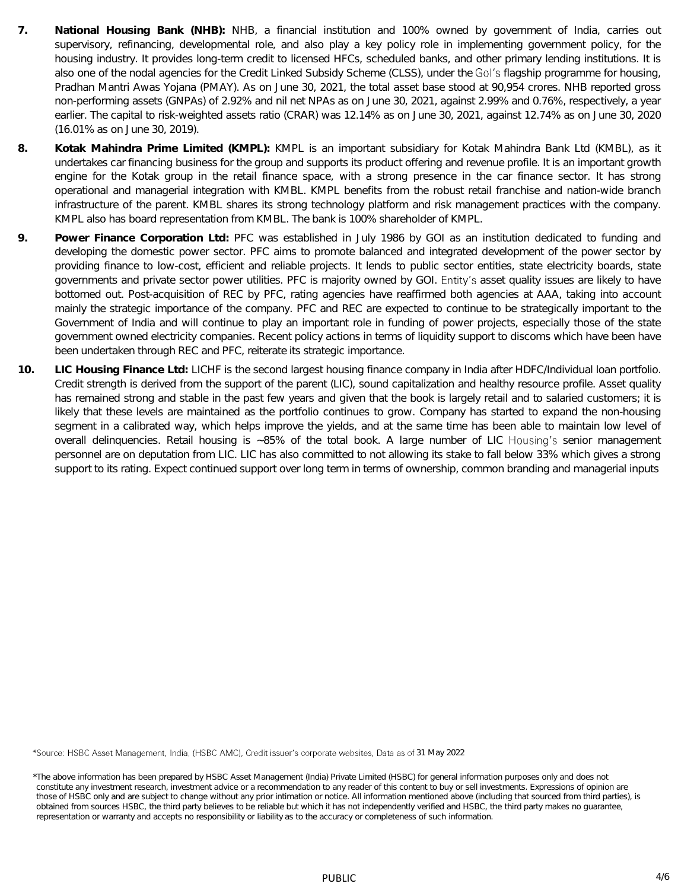- **7. National Housing Bank (NHB):** NHB, a financial institution and 100% owned by government of India, carries out supervisory, refinancing, developmental role, and also play a key policy role in implementing government policy, for the housing industry. It provides long-term credit to licensed HFCs, scheduled banks, and other primary lending institutions. It is also one of the nodal agencies for the Credit Linked Subsidy Scheme (CLSS), under the Gol's flagship programme for housing, Pradhan Mantri Awas Yojana (PMAY). As on June 30, 2021, the total asset base stood at 90,954 crores. NHB reported gross non-performing assets (GNPAs) of 2.92% and nil net NPAs as on June 30, 2021, against 2.99% and 0.76%, respectively, a year earlier. The capital to risk-weighted assets ratio (CRAR) was 12.14% as on June 30, 2021, against 12.74% as on June 30, 2020 (16.01% as on June 30, 2019).
- **8. Kotak Mahindra Prime Limited (KMPL):** KMPL is an important subsidiary for Kotak Mahindra Bank Ltd (KMBL), as it undertakes car financing business for the group and supports its product offering and revenue profile. It is an important growth engine for the Kotak group in the retail finance space, with a strong presence in the car finance sector. It has strong operational and managerial integration with KMBL. KMPL benefits from the robust retail franchise and nation-wide branch infrastructure of the parent. KMBL shares its strong technology platform and risk management practices with the company. KMPL also has board representation from KMBL. The bank is 100% shareholder of KMPL.
- **9. Power Finance Corporation Ltd:** PFC was established in July 1986 by GOI as an institution dedicated to funding and developing the domestic power sector. PFC aims to promote balanced and integrated development of the power sector by providing finance to low-cost, efficient and reliable projects. It lends to public sector entities, state electricity boards, state governments and private sector power utilities. PFC is majority owned by GOI. Entity's asset quality issues are likely to have bottomed out. Post-acquisition of REC by PFC, rating agencies have reaffirmed both agencies at AAA, taking into account mainly the strategic importance of the company. PFC and REC are expected to continue to be strategically important to the Government of India and will continue to play an important role in funding of power projects, especially those of the state government owned electricity companies. Recent policy actions in terms of liquidity support to discoms which have been have been undertaken through REC and PFC, reiterate its strategic importance.
- **10. LIC Housing Finance Ltd:** LICHF is the second largest housing finance company in India after HDFC/Individual loan portfolio. Credit strength is derived from the support of the parent (LIC), sound capitalization and healthy resource profile. Asset quality has remained strong and stable in the past few years and given that the book is largely retail and to salaried customers; it is likely that these levels are maintained as the portfolio continues to grow. Company has started to expand the non-housing segment in a calibrated way, which helps improve the yields, and at the same time has been able to maintain low level of overall delinquencies. Retail housing is ~85% of the total book. A large number of LIC Housing's senior management personnel are on deputation from LIC. LIC has also committed to not allowing its stake to fall below 33% which gives a strong support to its rating. Expect continued support over long term in terms of ownership, common branding and managerial inputs

\*Source: HSBC Asset Management, India, (HSBC AMC), Credit issuer's corporate websites, Data as of 31 May 2022

<sup>\*</sup>The above information has been prepared by HSBC Asset Management (India) Private Limited (HSBC) for general information purposes only and does not constitute any investment research, investment advice or a recommendation to any reader of this content to buy or sell investments. Expressions of opinion are those of HSBC only and are subject to change without any prior intimation or notice. All information mentioned above (including that sourced from third parties), is obtained from sources HSBC, the third party believes to be reliable but which it has not independently verified and HSBC, the third party makes no guarantee, representation or warranty and accepts no responsibility or liability as to the accuracy or completeness of such information.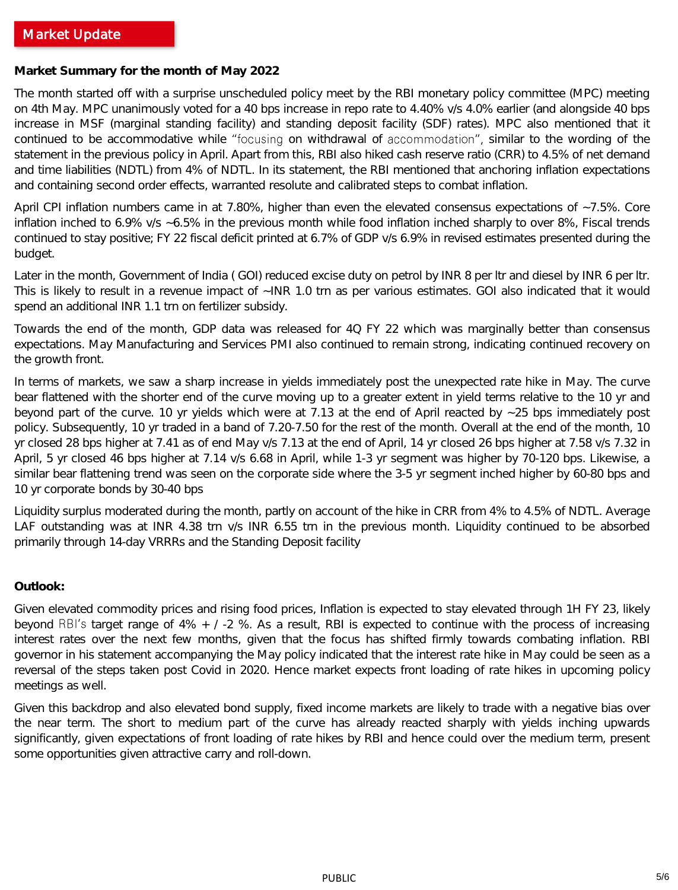#### **Market Summary for the month of May 2022**

The month started off with a surprise unscheduled policy meet by the RBI monetary policy committee (MPC) meeting on 4th May. MPC unanimously voted for a 40 bps increase in repo rate to 4.40% v/s 4.0% earlier (and alongside 40 bps increase in MSF (marginal standing facility) and standing deposit facility (SDF) rates). MPC also mentioned that it continued to be accommodative while "focusing on withdrawal of accommodation", similar to the wording of the statement in the previous policy in April. Apart from this, RBI also hiked cash reserve ratio (CRR) to 4.5% of net demand and time liabilities (NDTL) from 4% of NDTL. In its statement, the RBI mentioned that anchoring inflation expectations and containing second order effects, warranted resolute and calibrated steps to combat inflation.

April CPI inflation numbers came in at 7.80%, higher than even the elevated consensus expectations of ~7.5%. Core inflation inched to 6.9% v/s ~6.5% in the previous month while food inflation inched sharply to over 8%, Fiscal trends continued to stay positive; FY 22 fiscal deficit printed at 6.7% of GDP v/s 6.9% in revised estimates presented during the budget.

Later in the month, Government of India (GOI) reduced excise duty on petrol by INR 8 per ltr and diesel by INR 6 per ltr. This is likely to result in a revenue impact of ~INR 1.0 trn as per various estimates. GOI also indicated that it would spend an additional INR 1.1 trn on fertilizer subsidy.

Towards the end of the month, GDP data was released for 4Q FY 22 which was marginally better than consensus expectations. May Manufacturing and Services PMI also continued to remain strong, indicating continued recovery on the growth front.

In terms of markets, we saw a sharp increase in yields immediately post the unexpected rate hike in May. The curve bear flattened with the shorter end of the curve moving up to a greater extent in yield terms relative to the 10 yr and beyond part of the curve. 10 yr yields which were at 7.13 at the end of April reacted by ~25 bps immediately post policy. Subsequently, 10 yr traded in a band of 7.20-7.50 for the rest of the month. Overall at the end of the month, 10 yr closed 28 bps higher at 7.41 as of end May v/s 7.13 at the end of April, 14 yr closed 26 bps higher at 7.58 v/s 7.32 in April, 5 yr closed 46 bps higher at 7.14 v/s 6.68 in April, while 1-3 yr segment was higher by 70-120 bps. Likewise, a similar bear flattening trend was seen on the corporate side where the 3-5 yr segment inched higher by 60-80 bps and 10 yr corporate bonds by 30-40 bps

Liquidity surplus moderated during the month, partly on account of the hike in CRR from 4% to 4.5% of NDTL. Average LAF outstanding was at INR 4.38 trn v/s INR 6.55 trn in the previous month. Liquidity continued to be absorbed primarily through 14-day VRRRs and the Standing Deposit facility

#### **Outlook:**

Given elevated commodity prices and rising food prices, Inflation is expected to stay elevated through 1H FY 23, likely beyond RBI's target range of  $4\% + 7.2$  %. As a result, RBI is expected to continue with the process of increasing interest rates over the next few months, given that the focus has shifted firmly towards combating inflation. RBI governor in his statement accompanying the May policy indicated that the interest rate hike in May could be seen as a reversal of the steps taken post Covid in 2020. Hence market expects front loading of rate hikes in upcoming policy meetings as well.

Given this backdrop and also elevated bond supply, fixed income markets are likely to trade with a negative bias over the near term. The short to medium part of the curve has already reacted sharply with yields inching upwards significantly, given expectations of front loading of rate hikes by RBI and hence could over the medium term, present some opportunities given attractive carry and roll-down.